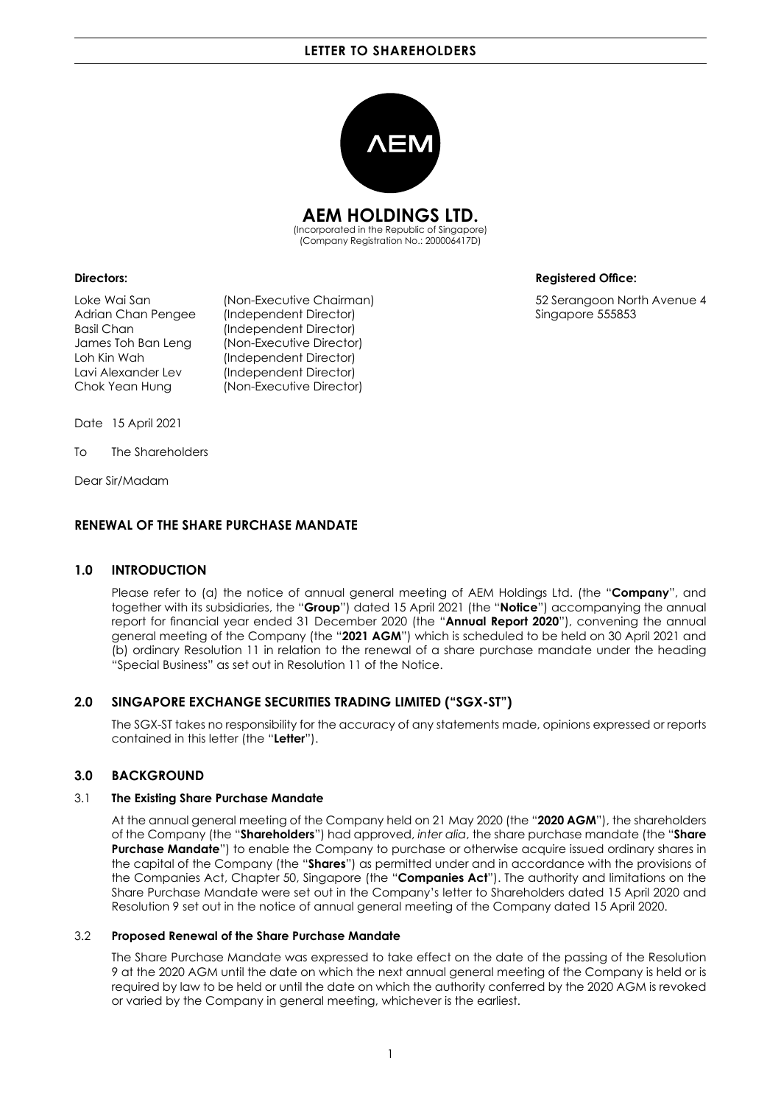# **LETTER TO SHAREHOLDERS**



**AEM HOLDINGS LTD.**

(Incorporated in the Republic of Singapore) (Company Registration No.: 200006417D)

Adrian Chan Pengee (Independent Director) Singapore 555853 Basil Chan (Independent Director) James Toh Ban Leng (Non-Executive Director) Loh Kin Wah (Independent Director) Lavi Alexander Lev (Independent Director) Chok Yean Hung (Non-Executive Director)

**Directors: CONSIDERED ACCOUNTS AND INTERFERIENT ACCOUNTS AND INTERFERIENT ACCOUNTS AND INTERFERIENCE:** 

Loke Wai San (Non-Executive Chairman) 52 Serangoon North Avenue 4

Date 15 April 2021

To The Shareholders

Dear Sir/Madam

# **RENEWAL OF THE SHARE PURCHASE MANDATE**

### **1.0 INTRODUCTION**

Please refer to (a) the notice of annual general meeting of AEM Holdings Ltd. (the "**Company**", and together with its subsidiaries, the "**Group**") dated 15 April 2021 (the "**Notice**") accompanying the annual report for financial year ended 31 December 2020 (the "**Annual Report 2020**"), convening the annual general meeting of the Company (the "**2021 AGM**") which is scheduled to be held on 30 April 2021 and (b) ordinary Resolution 11 in relation to the renewal of a share purchase mandate under the heading "Special Business" as set out in Resolution 11 of the Notice.

# **2.0 SINGAPORE EXCHANGE SECURITIES TRADING LIMITED ("SGX-ST")**

The SGX-ST takes no responsibility for the accuracy of any statements made, opinions expressed or reports contained in this letter (the "**Letter**").

# **3.0 BACKGROUND**

### 3.1 **The Existing Share Purchase Mandate**

At the annual general meeting of the Company held on 21 May 2020 (the "**2020 AGM**"), the shareholders of the Company (the "**Shareholders**") had approved, *inter alia*, the share purchase mandate (the "**Share Purchase Mandate**") to enable the Company to purchase or otherwise acquire issued ordinary shares in the capital of the Company (the "**Shares**") as permitted under and in accordance with the provisions of the Companies Act, Chapter 50, Singapore (the "**Companies Act**"). The authority and limitations on the Share Purchase Mandate were set out in the Company's letter to Shareholders dated 15 April 2020 and Resolution 9 set out in the notice of annual general meeting of the Company dated 15 April 2020.

#### 3.2 **Proposed Renewal of the Share Purchase Mandate**

The Share Purchase Mandate was expressed to take effect on the date of the passing of the Resolution 9 at the 2020 AGM until the date on which the next annual general meeting of the Company is held or is required by law to be held or until the date on which the authority conferred by the 2020 AGM is revoked or varied by the Company in general meeting, whichever is the earliest.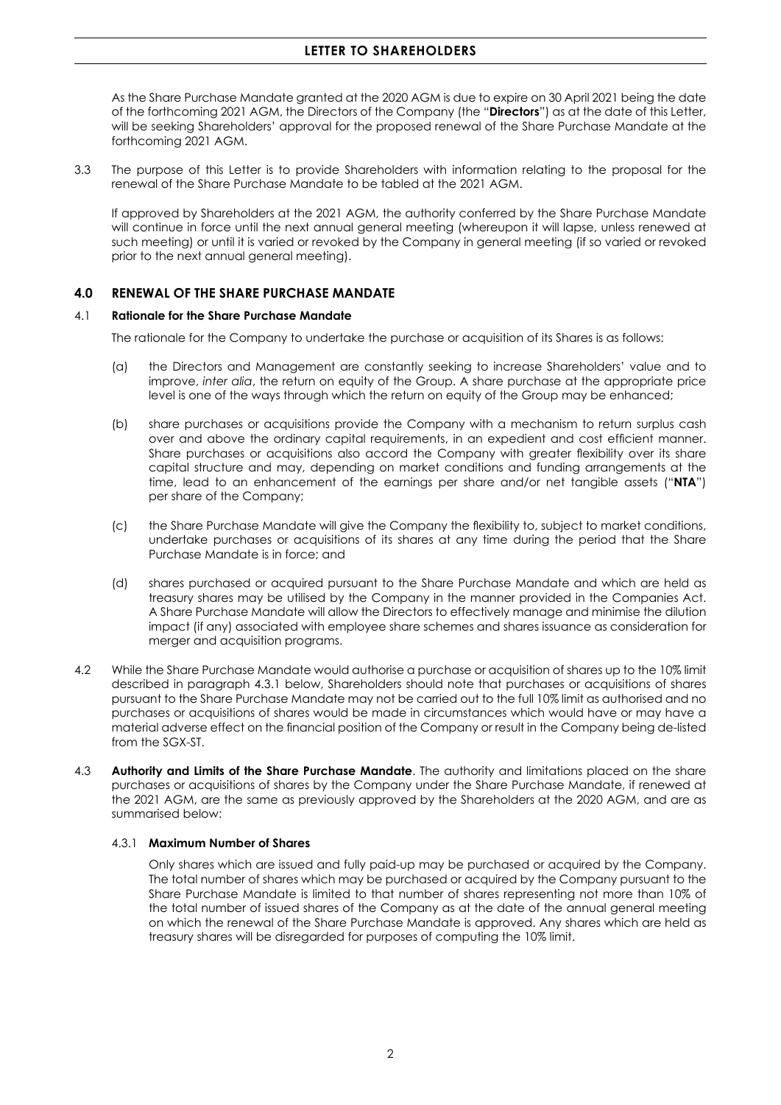# **LETTER TO SHAREHOLDERS**

As the Share Purchase Mandate granted at the 2020 AGM is due to expire on 30 April 2021 being the date of the forthcoming 2021 AGM, the Directors of the Company (the "**Directors**") as at the date of this Letter, will be seeking Shareholders' approval for the proposed renewal of the Share Purchase Mandate at the forthcoming 2021 AGM.

3.3 The purpose of this Letter is to provide Shareholders with information relating to the proposal for the renewal of the Share Purchase Mandate to be tabled at the 2021 AGM.

If approved by Shareholders at the 2021 AGM, the authority conferred by the Share Purchase Mandate will continue in force until the next annual general meeting (whereupon it will lapse, unless renewed at such meeting) or until it is varied or revoked by the Company in general meeting (if so varied or revoked prior to the next annual general meeting).

# **4.0 RENEWAL OF THE SHARE PURCHASE MANDATE**

### 4.1 **Rationale for the Share Purchase Mandate**

The rationale for the Company to undertake the purchase or acquisition of its Shares is as follows:

- (a) the Directors and Management are constantly seeking to increase Shareholders' value and to improve, *inter alia*, the return on equity of the Group. A share purchase at the appropriate price level is one of the ways through which the return on equity of the Group may be enhanced;
- (b) share purchases or acquisitions provide the Company with a mechanism to return surplus cash over and above the ordinary capital requirements, in an expedient and cost efficient manner. Share purchases or acquisitions also accord the Company with greater flexibility over its share capital structure and may, depending on market conditions and funding arrangements at the time, lead to an enhancement of the earnings per share and/or net tangible assets ("**NTA**") per share of the Company;
- (c) the Share Purchase Mandate will give the Company the flexibility to, subject to market conditions, undertake purchases or acquisitions of its shares at any time during the period that the Share Purchase Mandate is in force; and
- (d) shares purchased or acquired pursuant to the Share Purchase Mandate and which are held as treasury shares may be utilised by the Company in the manner provided in the Companies Act. A Share Purchase Mandate will allow the Directors to effectively manage and minimise the dilution impact (if any) associated with employee share schemes and shares issuance as consideration for merger and acquisition programs.
- 4.2 While the Share Purchase Mandate would authorise a purchase or acquisition of shares up to the 10% limit described in paragraph 4.3.1 below, Shareholders should note that purchases or acquisitions of shares pursuant to the Share Purchase Mandate may not be carried out to the full 10% limit as authorised and no purchases or acquisitions of shares would be made in circumstances which would have or may have a material adverse effect on the financial position of the Company or result in the Company being de-listed from the SGX-ST.
- 4.3 **Authority and Limits of the Share Purchase Mandate**. The authority and limitations placed on the share purchases or acquisitions of shares by the Company under the Share Purchase Mandate, if renewed at the 2021 AGM, are the same as previously approved by the Shareholders at the 2020 AGM, and are as summarised below:

#### 4.3.1 **Maximum Number of Shares**

Only shares which are issued and fully paid-up may be purchased or acquired by the Company. The total number of shares which may be purchased or acquired by the Company pursuant to the Share Purchase Mandate is limited to that number of shares representing not more than 10% of the total number of issued shares of the Company as at the date of the annual general meeting on which the renewal of the Share Purchase Mandate is approved. Any shares which are held as treasury shares will be disregarded for purposes of computing the 10% limit.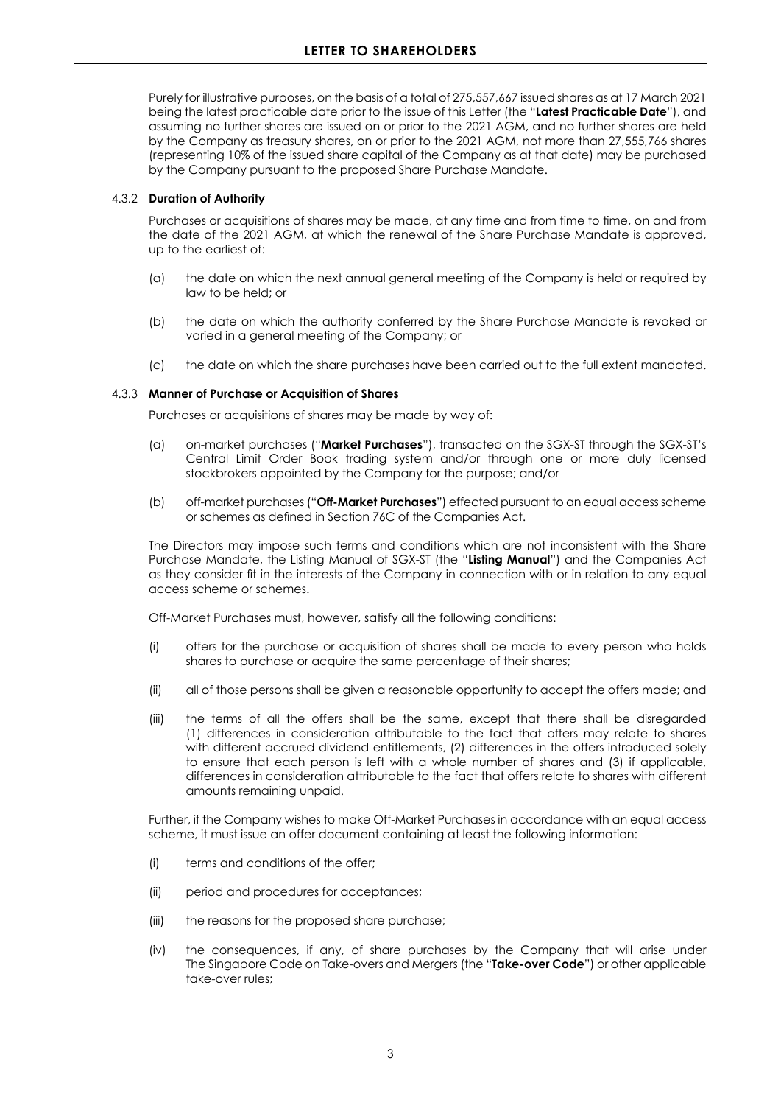Purely for illustrative purposes, on the basis of a total of 275,557,667 issued shares as at 17 March 2021 being the latest practicable date prior to the issue of this Letter (the "**Latest Practicable Date**"), and assuming no further shares are issued on or prior to the 2021 AGM, and no further shares are held by the Company as treasury shares, on or prior to the 2021 AGM, not more than 27,555,766 shares (representing 10% of the issued share capital of the Company as at that date) may be purchased by the Company pursuant to the proposed Share Purchase Mandate.

## 4.3.2 **Duration of Authority**

Purchases or acquisitions of shares may be made, at any time and from time to time, on and from the date of the 2021 AGM, at which the renewal of the Share Purchase Mandate is approved, up to the earliest of:

- (a) the date on which the next annual general meeting of the Company is held or required by law to be held; or
- (b) the date on which the authority conferred by the Share Purchase Mandate is revoked or varied in a general meeting of the Company; or
- (c) the date on which the share purchases have been carried out to the full extent mandated.

## 4.3.3 **Manner of Purchase or Acquisition of Shares**

Purchases or acquisitions of shares may be made by way of:

- (a) on-market purchases ("**Market Purchases**"), transacted on the SGX-ST through the SGX-ST's Central Limit Order Book trading system and/or through one or more duly licensed stockbrokers appointed by the Company for the purpose; and/or
- (b) off-market purchases ("**Off-Market Purchases**") effected pursuant to an equal access scheme or schemes as defined in Section 76C of the Companies Act.

The Directors may impose such terms and conditions which are not inconsistent with the Share Purchase Mandate, the Listing Manual of SGX-ST (the "**Listing Manual**") and the Companies Act as they consider fit in the interests of the Company in connection with or in relation to any equal access scheme or schemes.

Off-Market Purchases must, however, satisfy all the following conditions:

- (i) offers for the purchase or acquisition of shares shall be made to every person who holds shares to purchase or acquire the same percentage of their shares;
- (ii) all of those persons shall be given a reasonable opportunity to accept the offers made; and
- (iii) the terms of all the offers shall be the same, except that there shall be disregarded (1) differences in consideration attributable to the fact that offers may relate to shares with different accrued dividend entitlements, (2) differences in the offers introduced solely to ensure that each person is left with a whole number of shares and (3) if applicable, differences in consideration attributable to the fact that offers relate to shares with different amounts remaining unpaid.

Further, if the Company wishes to make Off-Market Purchases in accordance with an equal access scheme, it must issue an offer document containing at least the following information:

- (i) terms and conditions of the offer;
- (ii) period and procedures for acceptances;
- (iii) the reasons for the proposed share purchase;
- (iv) the consequences, if any, of share purchases by the Company that will arise under The Singapore Code on Take-overs and Mergers (the "**Take-over Code**") or other applicable take-over rules;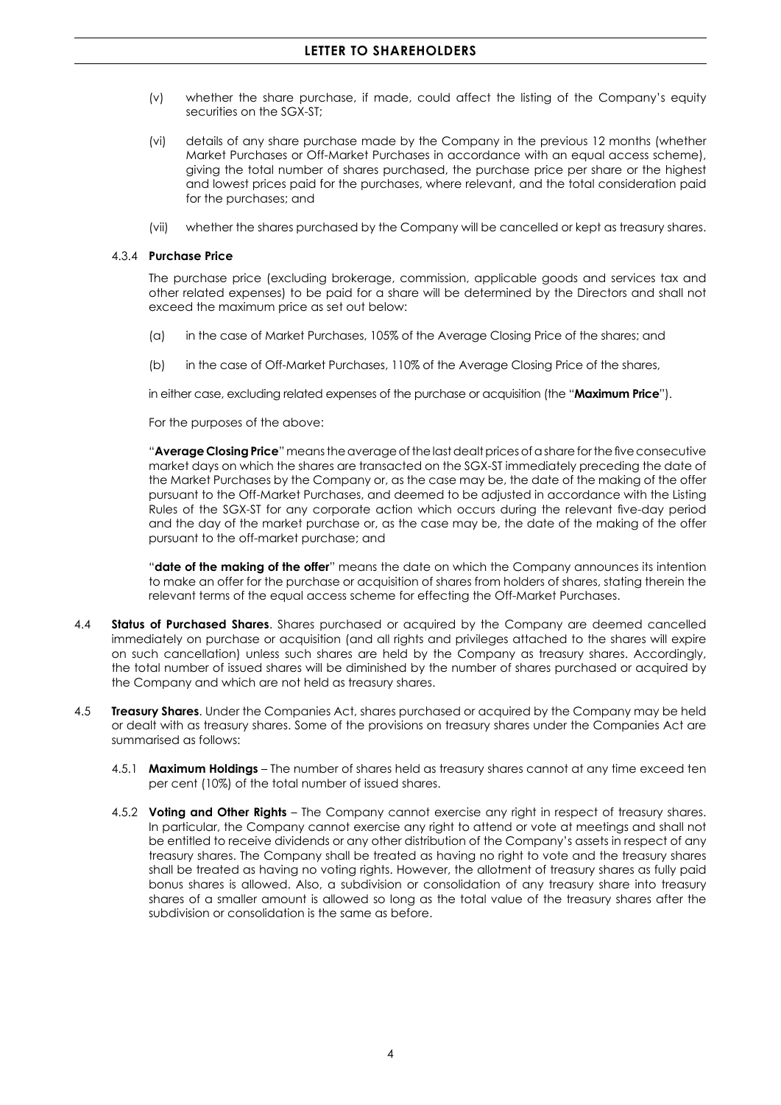- (v) whether the share purchase, if made, could affect the listing of the Company's equity securities on the SGX-ST;
- (vi) details of any share purchase made by the Company in the previous 12 months (whether Market Purchases or Off-Market Purchases in accordance with an equal access scheme), giving the total number of shares purchased, the purchase price per share or the highest and lowest prices paid for the purchases, where relevant, and the total consideration paid for the purchases; and
- (vii) whether the shares purchased by the Company will be cancelled or kept as treasury shares.

### 4.3.4 **Purchase Price**

The purchase price (excluding brokerage, commission, applicable goods and services tax and other related expenses) to be paid for a share will be determined by the Directors and shall not exceed the maximum price as set out below:

- (a) in the case of Market Purchases, 105% of the Average Closing Price of the shares; and
- (b) in the case of Off-Market Purchases, 110% of the Average Closing Price of the shares,

in either case, excluding related expenses of the purchase or acquisition (the "**Maximum Price**").

For the purposes of the above:

"**Average Closing Price**" means the average of the last dealt prices of a share for the five consecutive market days on which the shares are transacted on the SGX-ST immediately preceding the date of the Market Purchases by the Company or, as the case may be, the date of the making of the offer pursuant to the Off-Market Purchases, and deemed to be adjusted in accordance with the Listing Rules of the SGX-ST for any corporate action which occurs during the relevant five-day period and the day of the market purchase or, as the case may be, the date of the making of the offer pursuant to the off-market purchase; and

"**date of the making of the offer**" means the date on which the Company announces its intention to make an offer for the purchase or acquisition of shares from holders of shares, stating therein the relevant terms of the equal access scheme for effecting the Off-Market Purchases.

- 4.4 **Status of Purchased Shares**. Shares purchased or acquired by the Company are deemed cancelled immediately on purchase or acquisition (and all rights and privileges attached to the shares will expire on such cancellation) unless such shares are held by the Company as treasury shares. Accordingly, the total number of issued shares will be diminished by the number of shares purchased or acquired by the Company and which are not held as treasury shares.
- 4.5 **Treasury Shares**. Under the Companies Act, shares purchased or acquired by the Company may be held or dealt with as treasury shares. Some of the provisions on treasury shares under the Companies Act are summarised as follows:
	- 4.5.1 **Maximum Holdings** The number of shares held as treasury shares cannot at any time exceed ten per cent (10%) of the total number of issued shares.
	- 4.5.2 **Voting and Other Rights** The Company cannot exercise any right in respect of treasury shares. In particular, the Company cannot exercise any right to attend or vote at meetings and shall not be entitled to receive dividends or any other distribution of the Company's assets in respect of any treasury shares. The Company shall be treated as having no right to vote and the treasury shares shall be treated as having no voting rights. However, the allotment of treasury shares as fully paid bonus shares is allowed. Also, a subdivision or consolidation of any treasury share into treasury shares of a smaller amount is allowed so long as the total value of the treasury shares after the subdivision or consolidation is the same as before.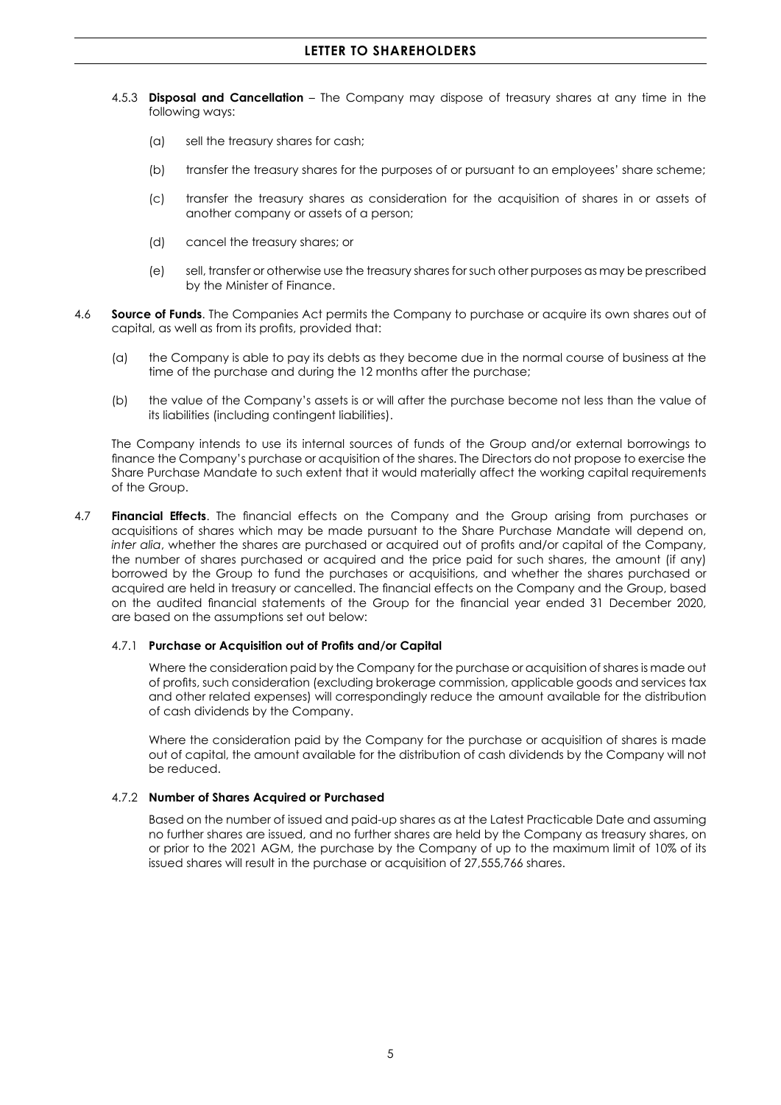- 4.5.3 **Disposal and Cancellation** The Company may dispose of treasury shares at any time in the following ways:
	- (a) sell the treasury shares for cash;
	- (b) transfer the treasury shares for the purposes of or pursuant to an employees' share scheme;
	- (c) transfer the treasury shares as consideration for the acquisition of shares in or assets of another company or assets of a person;
	- (d) cancel the treasury shares; or
	- (e) sell, transfer or otherwise use the treasury shares for such other purposes as may be prescribed by the Minister of Finance.
- 4.6 **Source of Funds**. The Companies Act permits the Company to purchase or acquire its own shares out of capital, as well as from its profits, provided that:
	- (a) the Company is able to pay its debts as they become due in the normal course of business at the time of the purchase and during the 12 months after the purchase;
	- (b) the value of the Company's assets is or will after the purchase become not less than the value of its liabilities (including contingent liabilities).

The Company intends to use its internal sources of funds of the Group and/or external borrowings to finance the Company's purchase or acquisition of the shares. The Directors do not propose to exercise the Share Purchase Mandate to such extent that it would materially affect the working capital requirements of the Group.

4.7 **Financial Effects**. The financial effects on the Company and the Group arising from purchases or acquisitions of shares which may be made pursuant to the Share Purchase Mandate will depend on, *inter alia*, whether the shares are purchased or acquired out of profits and/or capital of the Company, the number of shares purchased or acquired and the price paid for such shares, the amount (if any) borrowed by the Group to fund the purchases or acquisitions, and whether the shares purchased or acquired are held in treasury or cancelled. The financial effects on the Company and the Group, based on the audited financial statements of the Group for the financial year ended 31 December 2020, are based on the assumptions set out below:

#### 4.7.1 **Purchase or Acquisition out of Profits and/or Capital**

Where the consideration paid by the Company for the purchase or acquisition of shares is made out of profits, such consideration (excluding brokerage commission, applicable goods and services tax and other related expenses) will correspondingly reduce the amount available for the distribution of cash dividends by the Company.

Where the consideration paid by the Company for the purchase or acquisition of shares is made out of capital, the amount available for the distribution of cash dividends by the Company will not be reduced.

### 4.7.2 **Number of Shares Acquired or Purchased**

Based on the number of issued and paid-up shares as at the Latest Practicable Date and assuming no further shares are issued, and no further shares are held by the Company as treasury shares, on or prior to the 2021 AGM, the purchase by the Company of up to the maximum limit of 10% of its issued shares will result in the purchase or acquisition of 27,555,766 shares.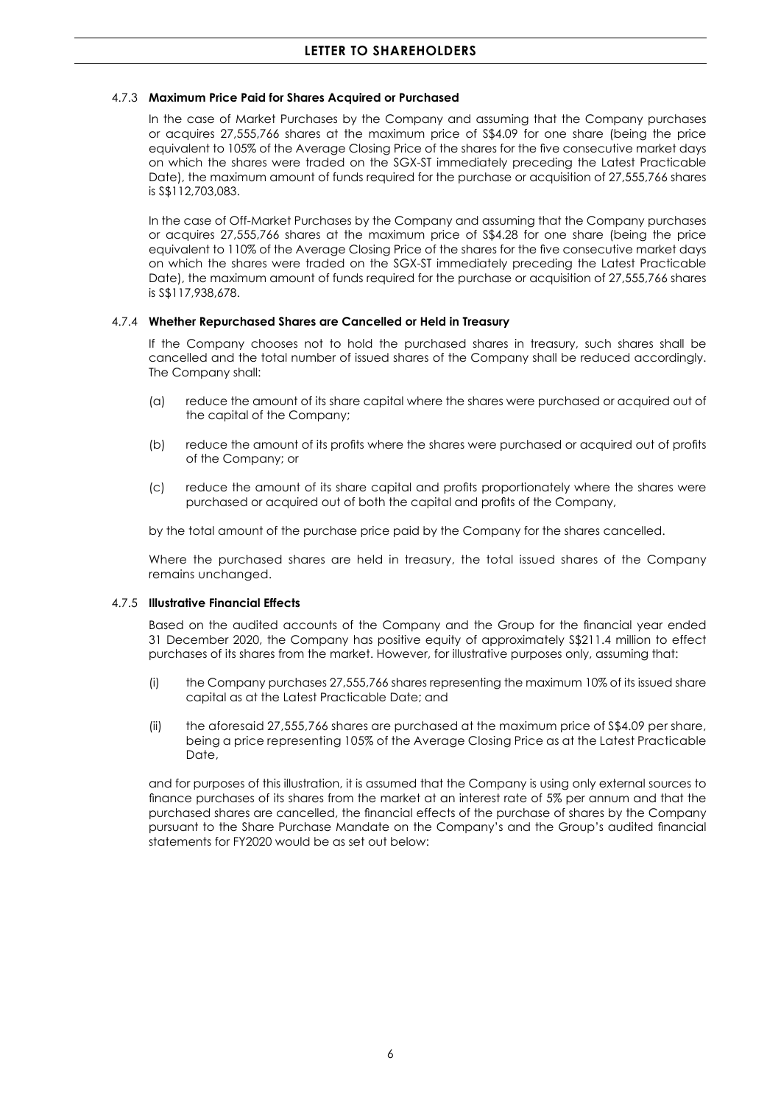## 4.7.3 **Maximum Price Paid for Shares Acquired or Purchased**

In the case of Market Purchases by the Company and assuming that the Company purchases or acquires 27,555,766 shares at the maximum price of S\$4.09 for one share (being the price equivalent to 105% of the Average Closing Price of the shares for the five consecutive market days on which the shares were traded on the SGX-ST immediately preceding the Latest Practicable Date), the maximum amount of funds required for the purchase or acquisition of 27,555,766 shares is S\$112,703,083.

In the case of Off-Market Purchases by the Company and assuming that the Company purchases or acquires 27,555,766 shares at the maximum price of S\$4.28 for one share (being the price equivalent to 110% of the Average Closing Price of the shares for the five consecutive market days on which the shares were traded on the SGX-ST immediately preceding the Latest Practicable Date), the maximum amount of funds required for the purchase or acquisition of 27,555,766 shares is S\$117,938,678.

## 4.7.4 **Whether Repurchased Shares are Cancelled or Held in Treasury**

If the Company chooses not to hold the purchased shares in treasury, such shares shall be cancelled and the total number of issued shares of the Company shall be reduced accordingly. The Company shall:

- (a) reduce the amount of its share capital where the shares were purchased or acquired out of the capital of the Company;
- (b) reduce the amount of its profits where the shares were purchased or acquired out of profits of the Company; or
- (c) reduce the amount of its share capital and profits proportionately where the shares were purchased or acquired out of both the capital and profits of the Company,

by the total amount of the purchase price paid by the Company for the shares cancelled.

Where the purchased shares are held in treasury, the total issued shares of the Company remains unchanged.

### 4.7.5 **Illustrative Financial Effects**

Based on the audited accounts of the Company and the Group for the financial year ended 31 December 2020, the Company has positive equity of approximately S\$211.4 million to effect purchases of its shares from the market. However, for illustrative purposes only, assuming that:

- (i) the Company purchases 27,555,766 shares representing the maximum 10% of its issued share capital as at the Latest Practicable Date; and
- (ii) the aforesaid 27,555,766 shares are purchased at the maximum price of S\$4.09 per share, being a price representing 105% of the Average Closing Price as at the Latest Practicable Date,

and for purposes of this illustration, it is assumed that the Company is using only external sources to finance purchases of its shares from the market at an interest rate of 5% per annum and that the purchased shares are cancelled, the financial effects of the purchase of shares by the Company pursuant to the Share Purchase Mandate on the Company's and the Group's audited financial statements for FY2020 would be as set out below: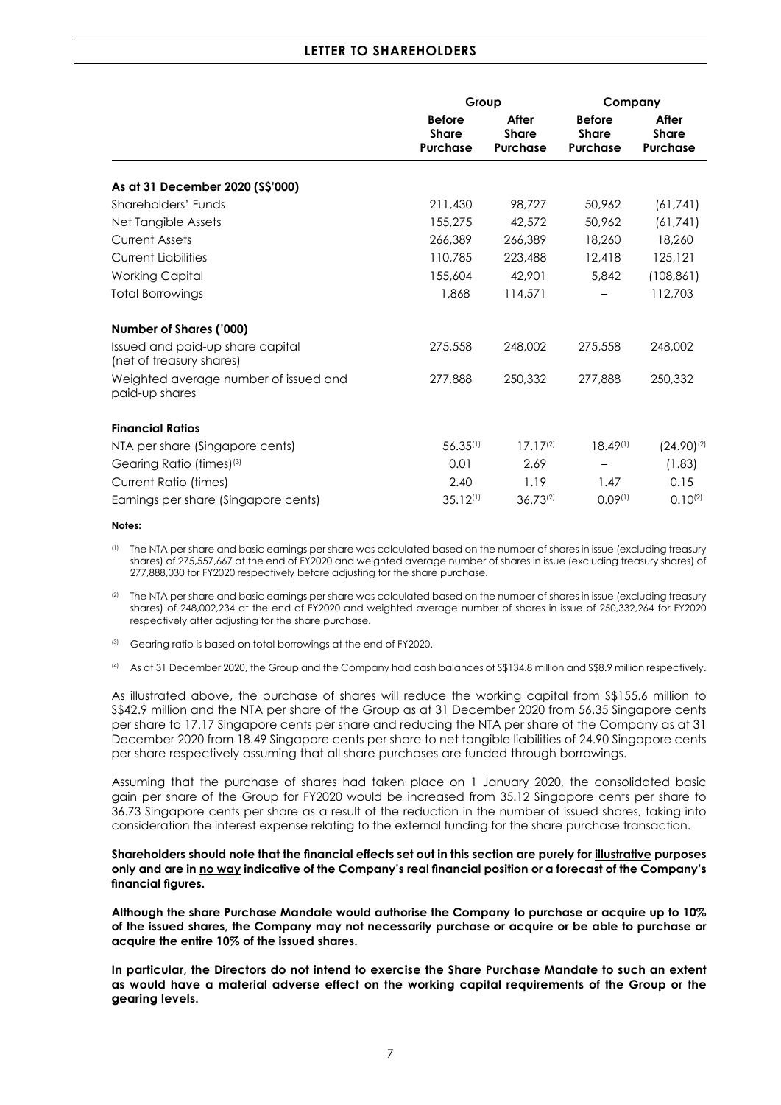# **LETTER TO SHAREHOLDERS**

|                                                              | Group                                            |                                          |                                                  | Company                                  |  |
|--------------------------------------------------------------|--------------------------------------------------|------------------------------------------|--------------------------------------------------|------------------------------------------|--|
|                                                              | <b>Before</b><br><b>Share</b><br><b>Purchase</b> | After<br><b>Share</b><br><b>Purchase</b> | <b>Before</b><br><b>Share</b><br><b>Purchase</b> | After<br><b>Share</b><br><b>Purchase</b> |  |
| As at 31 December 2020 (\$\$'000)                            |                                                  |                                          |                                                  |                                          |  |
| Shareholders' Funds                                          | 211,430                                          | 98,727                                   | 50,962                                           | (61, 741)                                |  |
| Net Tangible Assets                                          | 155,275                                          | 42,572                                   | 50,962                                           | (61, 741)                                |  |
| <b>Current Assets</b>                                        | 266,389                                          | 266,389                                  | 18,260                                           | 18,260                                   |  |
| <b>Current Liabilities</b>                                   | 110,785                                          | 223,488                                  | 12,418                                           | 125,121                                  |  |
| <b>Working Capital</b>                                       | 155,604                                          | 42.901                                   | 5,842                                            | (108, 861)                               |  |
| <b>Total Borrowings</b>                                      | 1,868                                            | 114,571                                  |                                                  | 112,703                                  |  |
| Number of Shares ('000)                                      |                                                  |                                          |                                                  |                                          |  |
| Issued and paid-up share capital<br>(net of treasury shares) | 275,558                                          | 248,002                                  | 275,558                                          | 248,002                                  |  |
| Weighted average number of issued and<br>paid-up shares      | 277,888                                          | 250,332                                  | 277,888                                          | 250,332                                  |  |
| <b>Financial Ratios</b>                                      |                                                  |                                          |                                                  |                                          |  |
| NTA per share (Singapore cents)                              | $56.35^{(1)}$                                    | $17.17^{(2)}$                            | $18.49^{(1)}$                                    | $(24.90)^{(2)}$                          |  |
| Gearing Ratio (times) <sup>(3)</sup>                         | 0.01                                             | 2.69                                     |                                                  | (1.83)                                   |  |
| Current Ratio (times)                                        | 2.40                                             | 1.19                                     | 1.47                                             | 0.15                                     |  |
| Earnings per share (Singapore cents)                         | $35.12^{(1)}$                                    | $36.73^{(2)}$                            | 0.09(1)                                          | $0.10^{(2)}$                             |  |

#### **Notes:**

(1) The NTA per share and basic earnings per share was calculated based on the number of shares in issue (excluding treasury shares) of 275,557,667 at the end of FY2020 and weighted average number of shares in issue (excluding treasury shares) of 277,888,030 for FY2020 respectively before adjusting for the share purchase.

(2) The NTA per share and basic earnings per share was calculated based on the number of shares in issue (excluding treasury shares) of 248,002,234 at the end of FY2020 and weighted average number of shares in issue of 250,332,264 for FY2020 respectively after adjusting for the share purchase.

(3) Gearing ratio is based on total borrowings at the end of FY2020.

(4) As at 31 December 2020, the Group and the Company had cash balances of S\$134.8 million and S\$8.9 million respectively.

As illustrated above, the purchase of shares will reduce the working capital from S\$155.6 million to S\$42.9 million and the NTA per share of the Group as at 31 December 2020 from 56.35 Singapore cents per share to 17.17 Singapore cents per share and reducing the NTA per share of the Company as at 31 December 2020 from 18.49 Singapore cents per share to net tangible liabilities of 24.90 Singapore cents per share respectively assuming that all share purchases are funded through borrowings.

Assuming that the purchase of shares had taken place on 1 January 2020, the consolidated basic gain per share of the Group for FY2020 would be increased from 35.12 Singapore cents per share to 36.73 Singapore cents per share as a result of the reduction in the number of issued shares, taking into consideration the interest expense relating to the external funding for the share purchase transaction.

#### Shareholders should note that the financial effects set out in this section are purely for illustrative purposes **only and are in no way indicative of the Company's real financial position or a forecast of the Company's financial figures.**

**Although the share Purchase Mandate would authorise the Company to purchase or acquire up to 10% of the issued shares, the Company may not necessarily purchase or acquire or be able to purchase or acquire the entire 10% of the issued shares.**

**In particular, the Directors do not intend to exercise the Share Purchase Mandate to such an extent as would have a material adverse effect on the working capital requirements of the Group or the gearing levels.**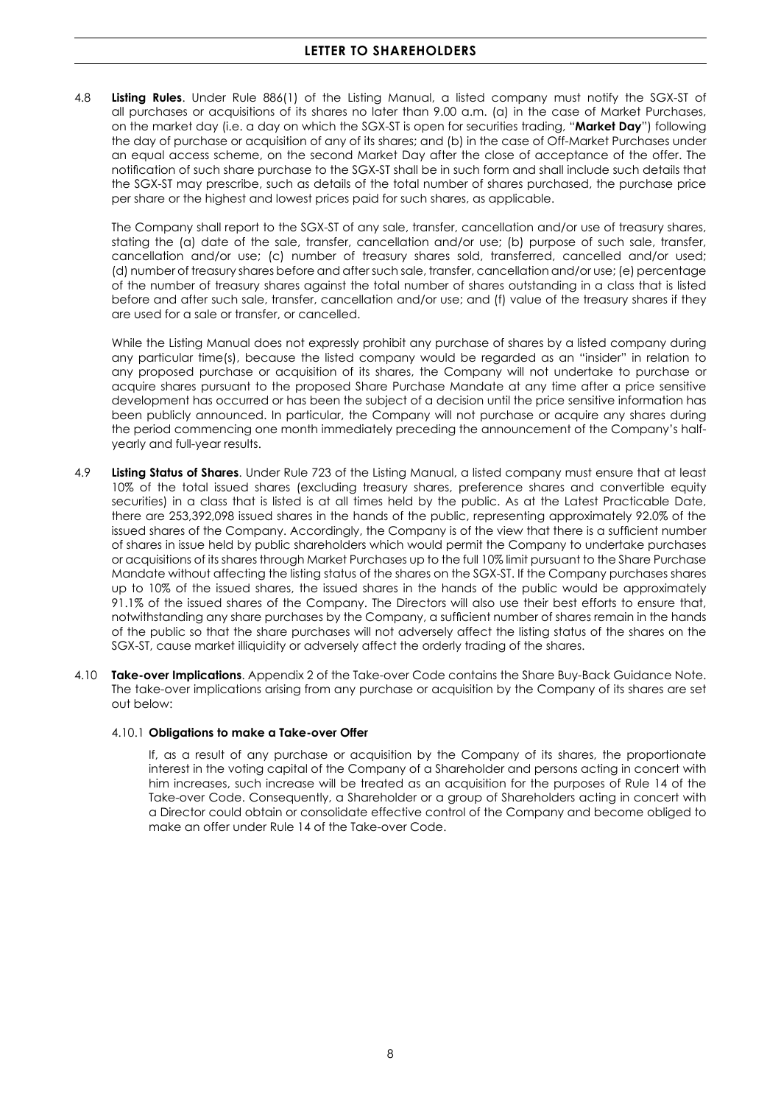4.8 **Listing Rules**. Under Rule 886(1) of the Listing Manual, a listed company must notify the SGX-ST of all purchases or acquisitions of its shares no later than 9.00 a.m. (a) in the case of Market Purchases, on the market day (i.e. a day on which the SGX-ST is open for securities trading, "**Market Day**") following the day of purchase or acquisition of any of its shares; and (b) in the case of Off-Market Purchases under an equal access scheme, on the second Market Day after the close of acceptance of the offer. The notification of such share purchase to the SGX-ST shall be in such form and shall include such details that the SGX-ST may prescribe, such as details of the total number of shares purchased, the purchase price per share or the highest and lowest prices paid for such shares, as applicable.

The Company shall report to the SGX-ST of any sale, transfer, cancellation and/or use of treasury shares, stating the (a) date of the sale, transfer, cancellation and/or use; (b) purpose of such sale, transfer, cancellation and/or use; (c) number of treasury shares sold, transferred, cancelled and/or used; (d) number of treasury shares before and after such sale, transfer, cancellation and/or use; (e) percentage of the number of treasury shares against the total number of shares outstanding in a class that is listed before and after such sale, transfer, cancellation and/or use; and (f) value of the treasury shares if they are used for a sale or transfer, or cancelled.

While the Listing Manual does not expressly prohibit any purchase of shares by a listed company during any particular time(s), because the listed company would be regarded as an "insider" in relation to any proposed purchase or acquisition of its shares, the Company will not undertake to purchase or acquire shares pursuant to the proposed Share Purchase Mandate at any time after a price sensitive development has occurred or has been the subject of a decision until the price sensitive information has been publicly announced. In particular, the Company will not purchase or acquire any shares during the period commencing one month immediately preceding the announcement of the Company's halfyearly and full-year results.

- 4.9 **Listing Status of Shares**. Under Rule 723 of the Listing Manual, a listed company must ensure that at least 10% of the total issued shares (excluding treasury shares, preference shares and convertible equity securities) in a class that is listed is at all times held by the public. As at the Latest Practicable Date, there are 253,392,098 issued shares in the hands of the public, representing approximately 92.0% of the issued shares of the Company. Accordingly, the Company is of the view that there is a sufficient number of shares in issue held by public shareholders which would permit the Company to undertake purchases or acquisitions of its shares through Market Purchases up to the full 10% limit pursuant to the Share Purchase Mandate without affecting the listing status of the shares on the SGX-ST. If the Company purchases shares up to 10% of the issued shares, the issued shares in the hands of the public would be approximately 91.1% of the issued shares of the Company. The Directors will also use their best efforts to ensure that, notwithstanding any share purchases by the Company, a sufficient number of shares remain in the hands of the public so that the share purchases will not adversely affect the listing status of the shares on the SGX-ST, cause market illiquidity or adversely affect the orderly trading of the shares.
- 4.10 **Take-over Implications**. Appendix 2 of the Take-over Code contains the Share Buy-Back Guidance Note. The take-over implications arising from any purchase or acquisition by the Company of its shares are set out below:

### 4.10.1 **Obligations to make a Take-over Offer**

If, as a result of any purchase or acquisition by the Company of its shares, the proportionate interest in the voting capital of the Company of a Shareholder and persons acting in concert with him increases, such increase will be treated as an acquisition for the purposes of Rule 14 of the Take-over Code. Consequently, a Shareholder or a group of Shareholders acting in concert with a Director could obtain or consolidate effective control of the Company and become obliged to make an offer under Rule 14 of the Take-over Code.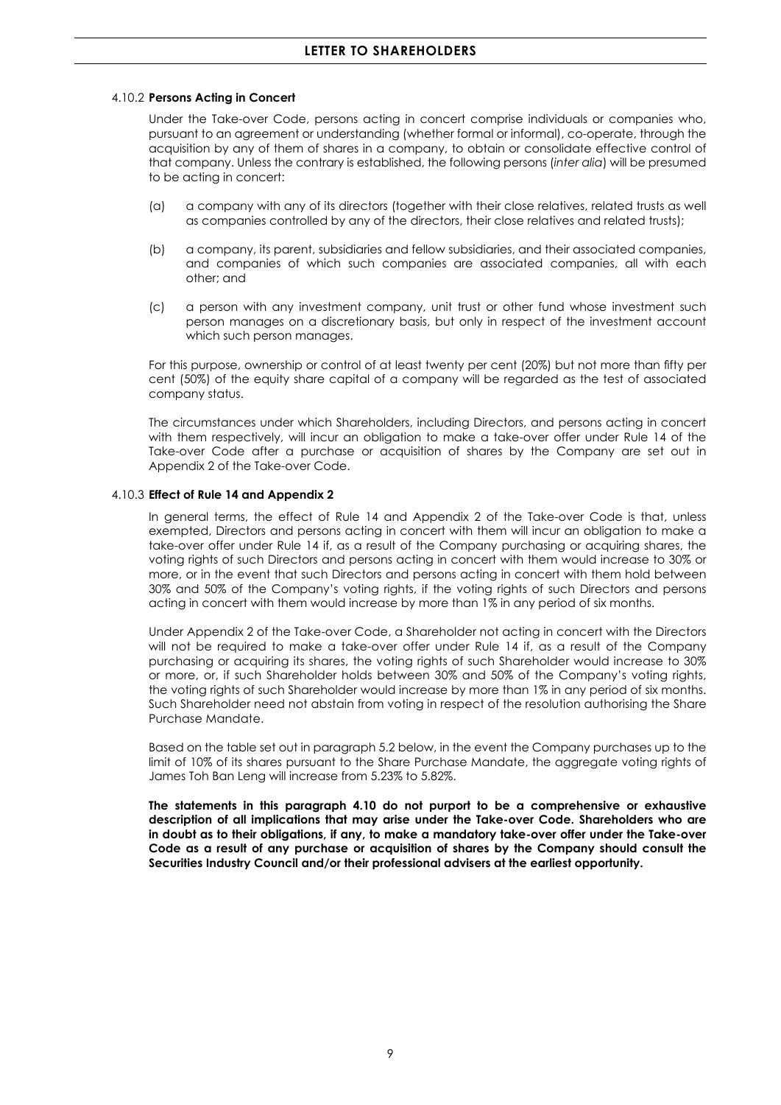#### 4.10.2 **Persons Acting in Concert**

Under the Take-over Code, persons acting in concert comprise individuals or companies who, pursuant to an agreement or understanding (whether formal or informal), co-operate, through the acquisition by any of them of shares in a company, to obtain or consolidate effective control of that company. Unless the contrary is established, the following persons (*inter alia*) will be presumed to be acting in concert:

- (a) a company with any of its directors (together with their close relatives, related trusts as well as companies controlled by any of the directors, their close relatives and related trusts);
- (b) a company, its parent, subsidiaries and fellow subsidiaries, and their associated companies, and companies of which such companies are associated companies, all with each other; and
- (c) a person with any investment company, unit trust or other fund whose investment such person manages on a discretionary basis, but only in respect of the investment account which such person manages.

For this purpose, ownership or control of at least twenty per cent (20%) but not more than fifty per cent (50%) of the equity share capital of a company will be regarded as the test of associated company status.

The circumstances under which Shareholders, including Directors, and persons acting in concert with them respectively, will incur an obligation to make a take-over offer under Rule 14 of the Take-over Code after a purchase or acquisition of shares by the Company are set out in Appendix 2 of the Take-over Code.

### 4.10.3 **Effect of Rule 14 and Appendix 2**

In general terms, the effect of Rule 14 and Appendix 2 of the Take-over Code is that, unless exempted, Directors and persons acting in concert with them will incur an obligation to make a take-over offer under Rule 14 if, as a result of the Company purchasing or acquiring shares, the voting rights of such Directors and persons acting in concert with them would increase to 30% or more, or in the event that such Directors and persons acting in concert with them hold between 30% and 50% of the Company's voting rights, if the voting rights of such Directors and persons acting in concert with them would increase by more than 1% in any period of six months.

Under Appendix 2 of the Take-over Code, a Shareholder not acting in concert with the Directors will not be required to make a take-over offer under Rule 14 if, as a result of the Company purchasing or acquiring its shares, the voting rights of such Shareholder would increase to 30% or more, or, if such Shareholder holds between 30% and 50% of the Company's voting rights, the voting rights of such Shareholder would increase by more than 1% in any period of six months. Such Shareholder need not abstain from voting in respect of the resolution authorising the Share Purchase Mandate.

Based on the table set out in paragraph 5.2 below, in the event the Company purchases up to the limit of 10% of its shares pursuant to the Share Purchase Mandate, the aggregate voting rights of James Toh Ban Leng will increase from 5.23% to 5.82%.

**The statements in this paragraph 4.10 do not purport to be a comprehensive or exhaustive description of all implications that may arise under the Take-over Code. Shareholders who are in doubt as to their obligations, if any, to make a mandatory take-over offer under the Take-over Code as a result of any purchase or acquisition of shares by the Company should consult the Securities Industry Council and/or their professional advisers at the earliest opportunity.**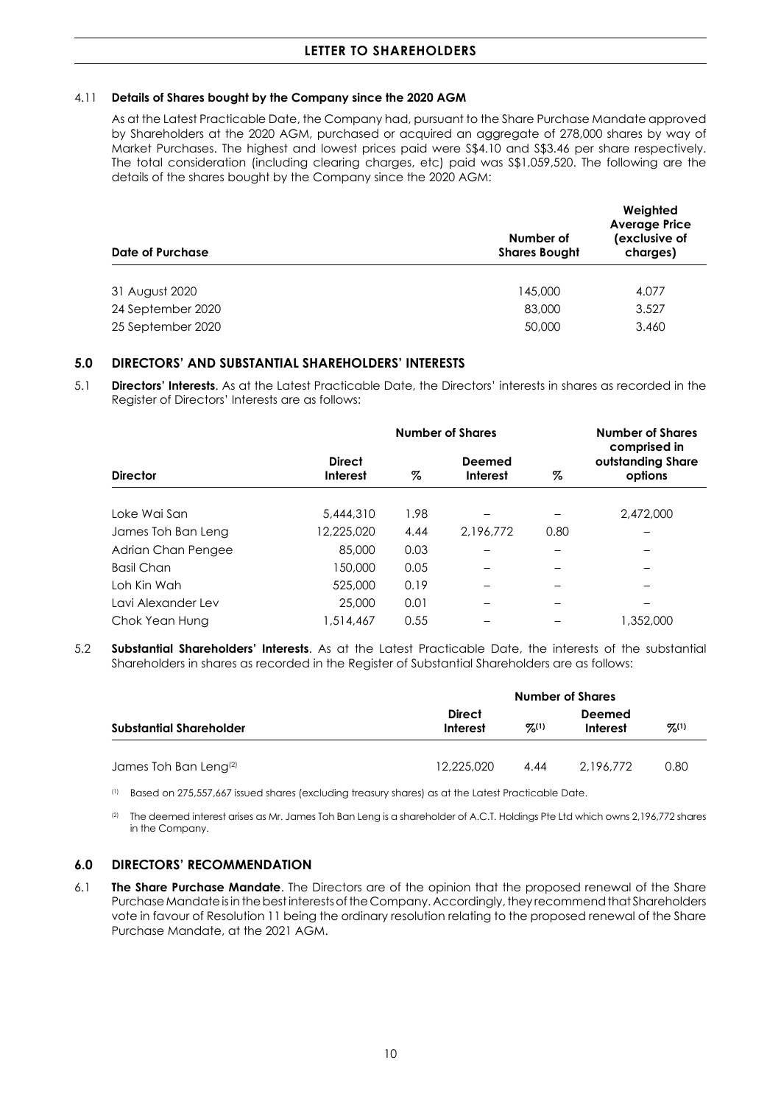### 4.11 **Details of Shares bought by the Company since the 2020 AGM**

As at the Latest Practicable Date, the Company had, pursuant to the Share Purchase Mandate approved by Shareholders at the 2020 AGM, purchased or acquired an aggregate of 278,000 shares by way of Market Purchases. The highest and lowest prices paid were S\$4.10 and S\$3.46 per share respectively. The total consideration (including clearing charges, etc) paid was S\$1,059,520. The following are the details of the shares bought by the Company since the 2020 AGM:

| <b>Date of Purchase</b>                | Number of<br><b>Shares Bought</b> | Weighted<br><b>Average Price</b><br>(exclusive of<br>charges) |  |
|----------------------------------------|-----------------------------------|---------------------------------------------------------------|--|
| 31 August 2020                         | 145,000                           | 4.077                                                         |  |
| 24 September 2020<br>25 September 2020 | 83,000<br>50,000                  | 3.527<br>3.460                                                |  |
|                                        |                                   |                                                               |  |

## **5.0 DIRECTORS' AND SUBSTANTIAL SHAREHOLDERS' INTERESTS**

5.1 **Directors' Interests**. As at the Latest Practicable Date, the Directors' interests in shares as recorded in the Register of Directors' Interests are as follows:

|                    | <b>Number of Shares</b>          |      |                    | <b>Number of Shares</b> |                                              |
|--------------------|----------------------------------|------|--------------------|-------------------------|----------------------------------------------|
| <b>Director</b>    | <b>Direct</b><br><b>Interest</b> | %    | Deemed<br>Interest | %                       | comprised in<br>outstanding Share<br>options |
| Loke Wai San       | 5,444,310                        | 1.98 |                    |                         | 2,472,000                                    |
| James Toh Ban Leng | 12,225,020                       | 4.44 | 2.196.772          | 0.80                    |                                              |
| Adrian Chan Pengee | 85,000                           | 0.03 |                    |                         |                                              |
| <b>Basil Chan</b>  | 150,000                          | 0.05 |                    |                         |                                              |
| Loh Kin Wah        | 525,000                          | 0.19 |                    |                         |                                              |
| Lavi Alexander Lev | 25,000                           | 0.01 |                    |                         |                                              |
| Chok Yean Hung     | 1,514,467                        | 0.55 |                    |                         | 1,352,000                                    |

5.2 **Substantial Shareholders' Interests**. As at the Latest Practicable Date, the interests of the substantial Shareholders in shares as recorded in the Register of Substantial Shareholders are as follows:

|                                   | <b>Number of Shares</b>                |      |                            |      |  |  |
|-----------------------------------|----------------------------------------|------|----------------------------|------|--|--|
| Substantial Shareholder           | <b>Direct</b><br>$Z^{(1)}$<br>Interest |      | Deemed<br>%(1)<br>Interest |      |  |  |
| James Toh Ban Leng <sup>(2)</sup> | 12.225.020                             | 4.44 | 2.196.772                  | 0.80 |  |  |

(1) Based on 275,557,667 issued shares (excluding treasury shares) as at the Latest Practicable Date.

<sup>(2)</sup> The deemed interest arises as Mr. James Toh Ban Leng is a shareholder of A.C.T. Holdings Pte Ltd which owns 2,196,772 shares in the Company.

# **6.0 DIRECTORS' RECOMMENDATION**

6.1 **The Share Purchase Mandate**. The Directors are of the opinion that the proposed renewal of the Share Purchase Mandate is in the best interests of the Company. Accordingly, they recommend that Shareholders vote in favour of Resolution 11 being the ordinary resolution relating to the proposed renewal of the Share Purchase Mandate, at the 2021 AGM.